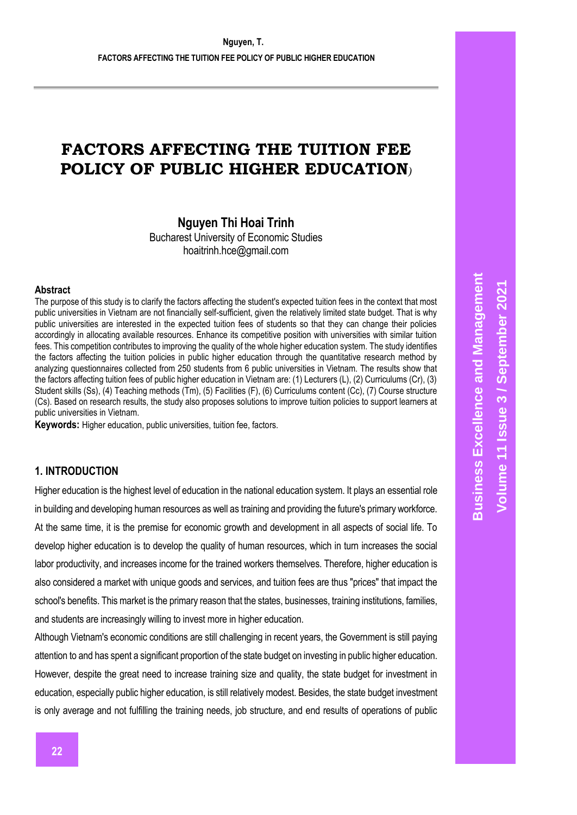# **FACTORS AFFECTING THE TUITION FEE POLICY OF PUBLIC HIGHER EDUCATION***)*

**Nguyen Thi Hoai Trinh**

Bucharest University of Economic Studies hoaitrinh.hce@gmail.com

#### **Abstract**

The purpose of this study is to clarify the factors affecting the student's expected tuition fees in the context that most public universities in Vietnam are not financially self-sufficient, given the relatively limited state budget. That is why public universities are interested in the expected tuition fees of students so that they can change their policies accordingly in allocating available resources. Enhance its competitive position with universities with similar tuition fees. This competition contributes to improving the quality of the whole higher education system. The study identifies the factors affecting the tuition policies in public higher education through the quantitative research method by analyzing questionnaires collected from 250 students from 6 public universities in Vietnam. The results show that the factors affecting tuition fees of public higher education in Vietnam are: (1) Lecturers (L), (2) Curriculums (Cr), (3) Student skills (Ss), (4) Teaching methods (Tm), (5) Facilities (F), (6) Curriculums content (Cc), (7) Course structure (Cs). Based on research results, the study also proposes solutions to improve tuition policies to support learners at public universities in Vietnam.

**Keywords:** Higher education, public universities, tuition fee, factors.

# **1. INTRODUCTION**

Higher education is the highest level of education in the national education system. It plays an essential role in building and developing human resources as well as training and providing the future's primary workforce. At the same time, it is the premise for economic growth and development in all aspects of social life. To develop higher education is to develop the quality of human resources, which in turn increases the social labor productivity, and increases income for the trained workers themselves. Therefore, higher education is also considered a market with unique goods and services, and tuition fees are thus "prices" that impact the school's benefits. This market is the primary reason that the states, businesses, training institutions, families, and students are increasingly willing to invest more in higher education.

Although Vietnam's economic conditions are still challenging in recent years, the Government is still paying attention to and has spent a significant proportion of the state budget on investing in public higher education. However, despite the great need to increase training size and quality, the state budget for investment in education, especially public higher education, is still relatively modest. Besides, the state budget investment is only average and not fulfilling the training needs, job structure, and end results of operations of public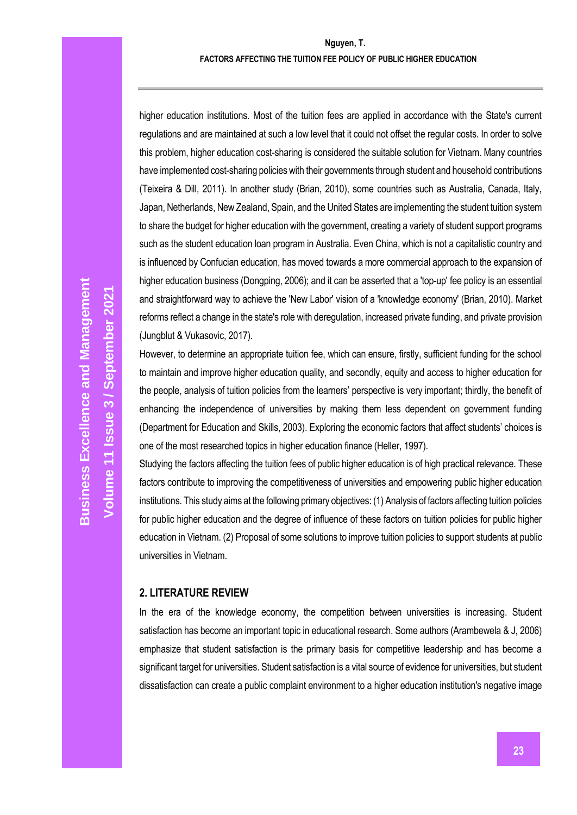higher education institutions. Most of the tuition fees are applied in accordance with the State's current regulations and are maintained at such a low level that it could not offset the regular costs. In order to solve this problem, higher education cost-sharing is considered the suitable solution for Vietnam. Many countries have implemented cost-sharing policies with their governments through student and household contributions (Teixeira & Dill, 2011). In another study (Brian, 2010), some countries such as Australia, Canada, Italy, Japan, Netherlands, New Zealand, Spain, and the United States are implementing the student tuition system to share the budget for higher education with the government, creating a variety of student support programs such as the student education loan program in Australia. Even China, which is not a capitalistic country and is influenced by Confucian education, has moved towards a more commercial approach to the expansion of higher education business (Dongping, 2006); and it can be asserted that a 'top-up' fee policy is an essential and straightforward way to achieve the 'New Labor' vision of a 'knowledge economy' (Brian, 2010). Market reforms reflect a change in the state's role with deregulation, increased private funding, and private provision (Jungblut & Vukasovic, 2017).

However, to determine an appropriate tuition fee, which can ensure, firstly, sufficient funding for the school to maintain and improve higher education quality, and secondly, equity and access to higher education for the people, analysis of tuition policies from the learners' perspective is very important; thirdly, the benefit of enhancing the independence of universities by making them less dependent on government funding (Department for Education and Skills, 2003). Exploring the economic factors that affect students' choices is one of the most researched topics in higher education finance (Heller, 1997).

Studying the factors affecting the tuition fees of public higher education is of high practical relevance. These factors contribute to improving the competitiveness of universities and empowering public higher education institutions. This study aims at the following primary objectives: (1) Analysis of factors affecting tuition policies for public higher education and the degree of influence of these factors on tuition policies for public higher education in Vietnam. (2) Proposal of some solutions to improve tuition policies to support students at public universities in Vietnam.

### **2. LITERATURE REVIEW**

In the era of the knowledge economy, the competition between universities is increasing. Student satisfaction has become an important topic in educational research. Some authors (Arambewela & J, 2006) emphasize that student satisfaction is the primary basis for competitive leadership and has become a significant target for universities. Student satisfaction is a vital source of evidence for universities, but student dissatisfaction can create a public complaint environment to a higher education institution's negative image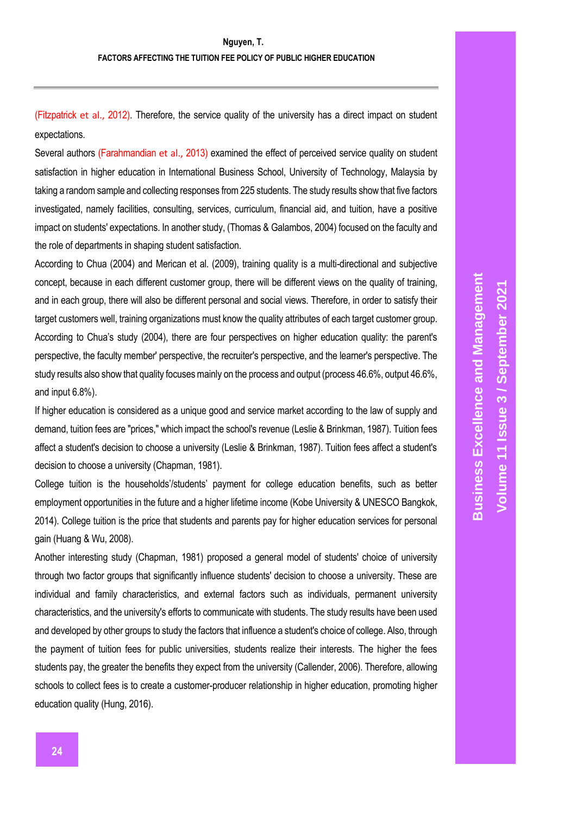(Fitzpatrick et al., 2012). Therefore, the service quality of the university has a direct impact on student expectations.

Several authors (Farahmandian et al., 2013) examined the effect of perceived service quality on student satisfaction in higher education in International Business School, University of Technology, Malaysia by taking a random sample and collecting responses from 225 students. The study results show that five factors investigated, namely facilities, consulting, services, curriculum, financial aid, and tuition, have a positive impact on students' expectations. In another study, (Thomas & Galambos, 2004) focused on the faculty and the role of departments in shaping student satisfaction.

According to Chua (2004) and Merican et al. (2009), training quality is a multi-directional and subjective concept, because in each different customer group, there will be different views on the quality of training, and in each group, there will also be different personal and social views. Therefore, in order to satisfy their target customers well, training organizations must know the quality attributes of each target customer group. According to Chua's study (2004), there are four perspectives on higher education quality: the parent's perspective, the faculty member' perspective, the recruiter's perspective, and the learner's perspective. The study results also show that quality focuses mainly on the process and output (process 46.6%, output 46.6%, and input 6.8%).

If higher education is considered as a unique good and service market according to the law of supply and demand, tuition fees are "prices," which impact the school's revenue (Leslie & Brinkman, 1987). Tuition fees affect a student's decision to choose a university (Leslie & Brinkman, 1987). Tuition fees affect a student's decision to choose a university (Chapman, 1981).

College tuition is the households'/students' payment for college education benefits, such as better employment opportunities in the future and a higher lifetime income (Kobe University & UNESCO Bangkok, 2014). College tuition is the price that students and parents pay for higher education services for personal gain (Huang & Wu, 2008).

Another interesting study (Chapman, 1981) proposed a general model of students' choice of university through two factor groups that significantly influence students' decision to choose a university. These are individual and family characteristics, and external factors such as individuals, permanent university characteristics, and the university's efforts to communicate with students. The study results have been used and developed by other groups to study the factors that influence a student's choice of college. Also, through the payment of tuition fees for public universities, students realize their interests. The higher the fees students pay, the greater the benefits they expect from the university (Callender, 2006). Therefore, allowing schools to collect fees is to create a customer-producer relationship in higher education, promoting higher education quality (Hung, 2016).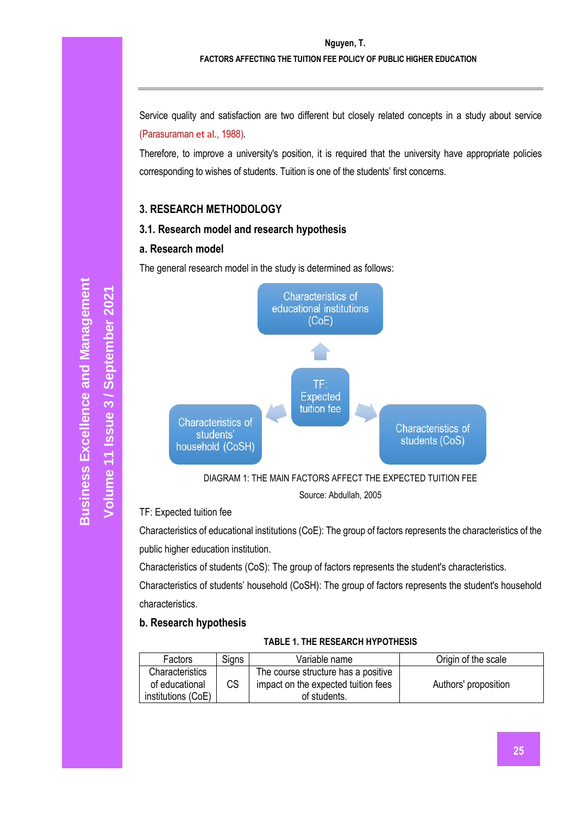#### **FACTORS AFFECTING THE TUITION FEE POLICY OF PUBLIC HIGHER EDUCATION**

Service quality and satisfaction are two different but closely related concepts in a study about service (Parasuraman et al., 1988).

Therefore, to improve a university's position, it is required that the university have appropriate policies corresponding to wishes of students. Tuition is one of the students' first concerns.

# **3. RESEARCH METHODOLOGY**

# **3.1. Research model and research hypothesis**

# **a. Research model**

The general research model in the study is determined as follows:





### TF: Expected tuition fee

Characteristics of educational institutions (CoE): The group of factors represents the characteristics of the public higher education institution.

Characteristics of students (CoS): The group of factors represents the student's characteristics.

Characteristics of students' household (CoSH): The group of factors represents the student's household characteristics.

# **b. Research hypothesis**

### **TABLE 1. THE RESEARCH HYPOTHESIS**

| Factors            | <b>Signs</b> | Variable name                       | Origin of the scale  |
|--------------------|--------------|-------------------------------------|----------------------|
| Characteristics    |              | The course structure has a positive |                      |
| of educational     | СS           | impact on the expected tuition fees | Authors' proposition |
| institutions (CoE) |              | of students.                        |                      |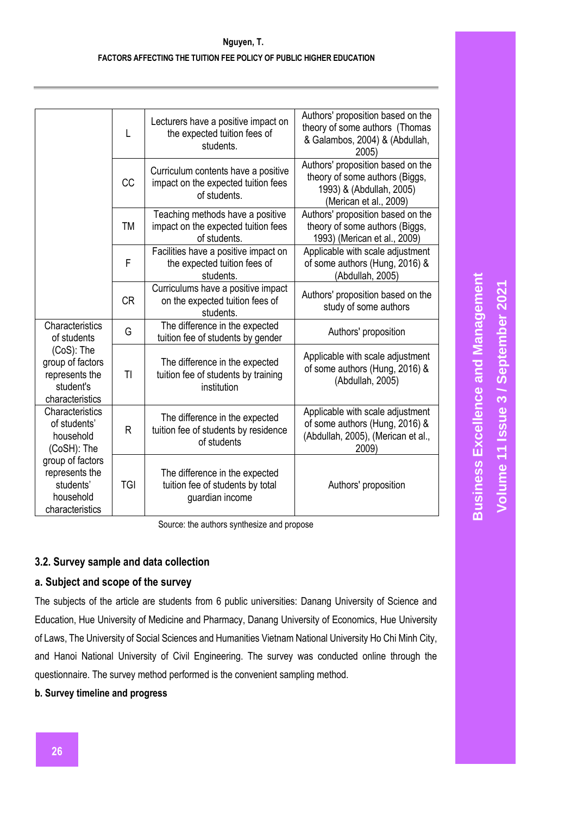|                                                                                  | L          | Lecturers have a positive impact on<br>the expected tuition fees of<br>students.           | Authors' proposition based on the<br>theory of some authors (Thomas<br>& Galambos, 2004) & (Abdullah,<br>2005             |
|----------------------------------------------------------------------------------|------------|--------------------------------------------------------------------------------------------|---------------------------------------------------------------------------------------------------------------------------|
|                                                                                  | CC         | Curriculum contents have a positive<br>impact on the expected tuition fees<br>of students. | Authors' proposition based on the<br>theory of some authors (Biggs,<br>1993) & (Abdullah, 2005)<br>(Merican et al., 2009) |
|                                                                                  | <b>TM</b>  | Teaching methods have a positive<br>impact on the expected tuition fees<br>of students.    | Authors' proposition based on the<br>theory of some authors (Biggs,<br>1993) (Merican et al., 2009)                       |
|                                                                                  | F          | Facilities have a positive impact on<br>the expected tuition fees of<br>students.          | Applicable with scale adjustment<br>of some authors (Hung, 2016) &<br>(Abdullah, 2005)                                    |
|                                                                                  | <b>CR</b>  | Curriculums have a positive impact<br>on the expected tuition fees of<br>students.         | Authors' proposition based on the<br>study of some authors                                                                |
| Characteristics<br>of students                                                   | G          | The difference in the expected<br>tuition fee of students by gender                        | Authors' proposition                                                                                                      |
| (CoS): The<br>group of factors<br>represents the<br>student's<br>characteristics | TI         | The difference in the expected<br>tuition fee of students by training<br>institution       | Applicable with scale adjustment<br>of some authors (Hung, 2016) &<br>(Abdullah, 2005)                                    |
| Characteristics<br>of students'<br>household<br>(CoSH): The                      | R          | The difference in the expected<br>tuition fee of students by residence<br>of students      | Applicable with scale adjustment<br>of some authors (Hung, 2016) &<br>(Abdullah, 2005), (Merican et al.,<br>2009)         |
| group of factors<br>represents the<br>students'<br>household<br>characteristics  | <b>TGI</b> | The difference in the expected<br>tuition fee of students by total<br>guardian income      | Authors' proposition                                                                                                      |

Source: the authors synthesize and propose

# **3.2. Survey sample and data collection**

# **a. Subject and scope of the survey**

The subjects of the article are students from 6 public universities: Danang University of Science and Education, Hue University of Medicine and Pharmacy, Danang University of Economics, Hue University of Laws, The University of Social Sciences and Humanities Vietnam National University Ho Chi Minh City, and Hanoi National University of Civil Engineering. The survey was conducted online through the questionnaire. The survey method performed is the convenient sampling method.

**b. Survey timeline and progress**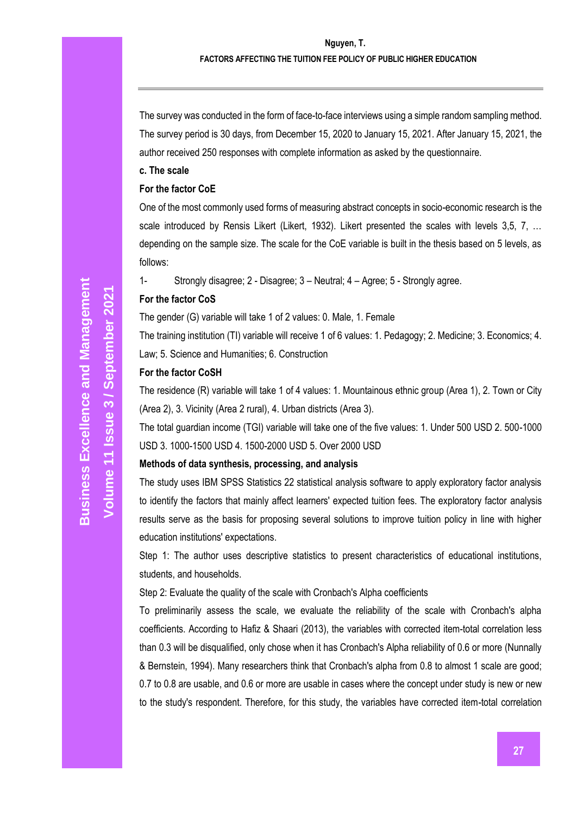#### **Nguyen, T.**

#### **FACTORS AFFECTING THE TUITION FEE POLICY OF PUBLIC HIGHER EDUCATION**

The survey was conducted in the form of face-to-face interviews using a simple random sampling method. The survey period is 30 days, from December 15, 2020 to January 15, 2021. After January 15, 2021, the author received 250 responses with complete information as asked by the questionnaire.

#### **c. The scale**

#### **For the factor CoE**

One of the most commonly used forms of measuring abstract concepts in socio-economic research is the scale introduced by Rensis Likert (Likert, 1932). Likert presented the scales with levels 3,5, 7, ... depending on the sample size. The scale for the CoE variable is built in the thesis based on 5 levels, as follows:

1- Strongly disagree; 2 - Disagree; 3 – Neutral; 4 – Agree; 5 - Strongly agree.

#### **For the factor CoS**

The gender (G) variable will take 1 of 2 values: 0. Male, 1. Female

The training institution (TI) variable will receive 1 of 6 values: 1. Pedagogy; 2. Medicine; 3. Economics; 4. Law; 5. Science and Humanities; 6. Construction

#### **For the factor CoSH**

The residence (R) variable will take 1 of 4 values: 1. Mountainous ethnic group (Area 1), 2. Town or City (Area 2), 3. Vicinity (Area 2 rural), 4. Urban districts (Area 3).

The total guardian income (TGI) variable will take one of the five values: 1. Under 500 USD 2. 500-1000 USD 3. 1000-1500 USD 4. 1500-2000 USD 5. Over 2000 USD

#### **Methods of data synthesis, processing, and analysis**

The study uses IBM SPSS Statistics 22 statistical analysis software to apply exploratory factor analysis to identify the factors that mainly affect learners' expected tuition fees. The exploratory factor analysis results serve as the basis for proposing several solutions to improve tuition policy in line with higher education institutions' expectations.

Step 1: The author uses descriptive statistics to present characteristics of educational institutions, students, and households.

Step 2: Evaluate the quality of the scale with Cronbach's Alpha coefficients

To preliminarily assess the scale, we evaluate the reliability of the scale with Cronbach's alpha coefficients. According to Hafiz & Shaari (2013), the variables with corrected item-total correlation less than 0.3 will be disqualified, only chose when it has Cronbach's Alpha reliability of 0.6 or more (Nunnally & Bernstein, 1994). Many researchers think that Cronbach's alpha from 0.8 to almost 1 scale are good; 0.7 to 0.8 are usable, and 0.6 or more are usable in cases where the concept under study is new or new to the study's respondent. Therefore, for this study, the variables have corrected item-total correlation

**Volume 11 Issue** 

**/ September 2021**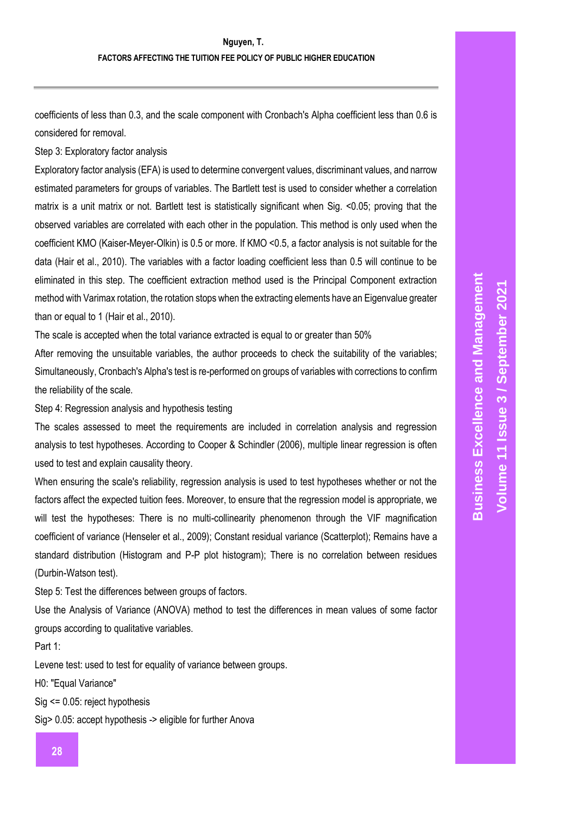coefficients of less than 0.3, and the scale component with Cronbach's Alpha coefficient less than 0.6 is considered for removal.

Step 3: Exploratory factor analysis

Exploratory factor analysis (EFA) is used to determine convergent values, discriminant values, and narrow estimated parameters for groups of variables. The Bartlett test is used to consider whether a correlation matrix is a unit matrix or not. Bartlett test is statistically significant when Sig. <0.05; proving that the observed variables are correlated with each other in the population. This method is only used when the coefficient KMO (Kaiser-Meyer-Olkin) is 0.5 or more. If KMO <0.5, a factor analysis is not suitable for the data (Hair et al., 2010). The variables with a factor loading coefficient less than 0.5 will continue to be eliminated in this step. The coefficient extraction method used is the Principal Component extraction method with Varimax rotation, the rotation stops when the extracting elements have an Eigenvalue greater than or equal to 1 (Hair et al., 2010).

The scale is accepted when the total variance extracted is equal to or greater than 50%

After removing the unsuitable variables, the author proceeds to check the suitability of the variables; Simultaneously, Cronbach's Alpha's test is re-performed on groups of variables with corrections to confirm the reliability of the scale.

Step 4: Regression analysis and hypothesis testing

The scales assessed to meet the requirements are included in correlation analysis and regression analysis to test hypotheses. According to Cooper & Schindler (2006), multiple linear regression is often used to test and explain causality theory.

When ensuring the scale's reliability, regression analysis is used to test hypotheses whether or not the factors affect the expected tuition fees. Moreover, to ensure that the regression model is appropriate, we will test the hypotheses: There is no multi-collinearity phenomenon through the VIF magnification coefficient of variance (Henseler et al., 2009); Constant residual variance (Scatterplot); Remains have a standard distribution (Histogram and P-P plot histogram); There is no correlation between residues (Durbin-Watson test).

Step 5: Test the differences between groups of factors.

Use the Analysis of Variance (ANOVA) method to test the differences in mean values of some factor groups according to qualitative variables.

Part 1:

Levene test: used to test for equality of variance between groups.

H0: "Equal Variance"

Sig <= 0.05: reject hypothesis

Sig> 0.05: accept hypothesis -> eligible for further Anova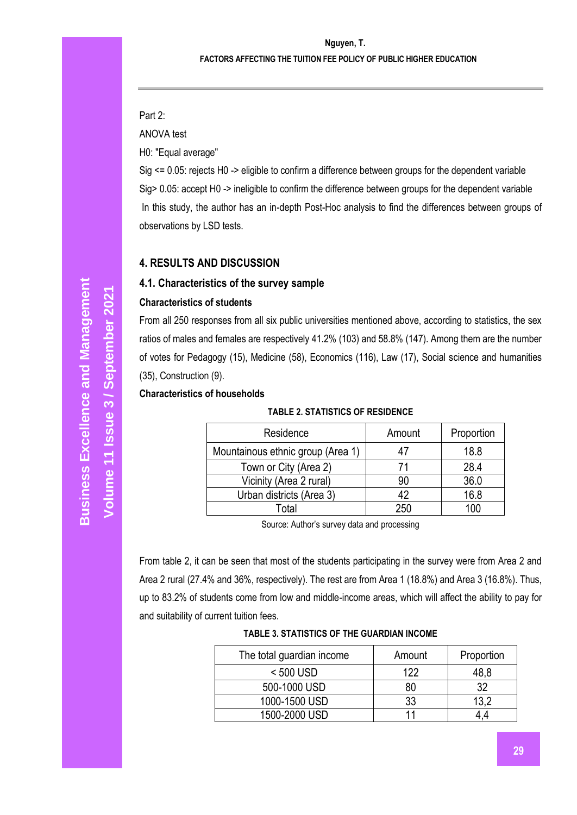Part 2:

ANOVA test

H0: "Equal average"

Sig <= 0.05: rejects H0 -> eligible to confirm a difference between groups for the dependent variable Sig> 0.05: accept H0 -> ineligible to confirm the difference between groups for the dependent variable In this study, the author has an in-depth Post-Hoc analysis to find the differences between groups of observations by LSD tests.

# **4. RESULTS AND DISCUSSION**

# **4.1. Characteristics of the survey sample**

# **Characteristics of students**

From all 250 responses from all six public universities mentioned above, according to statistics, the sex ratios of males and females are respectively 41.2% (103) and 58.8% (147). Among them are the number of votes for Pedagogy (15), Medicine (58), Economics (116), Law (17), Social science and humanities (35), Construction (9).

### **Characteristics of households**

#### **TABLE 2. STATISTICS OF RESIDENCE**

| Residence                         | Amount | Proportion |
|-----------------------------------|--------|------------|
| Mountainous ethnic group (Area 1) |        | 18.8       |
| Town or City (Area 2)             |        | 28.4       |
| Vicinity (Area 2 rural)           | 90     | 36.0       |
| Urban districts (Area 3)          | 42     | 16.8       |
| Total                             | 250    | m          |

Source: Author's survey data and processing

From table 2, it can be seen that most of the students participating in the survey were from Area 2 and Area 2 rural (27.4% and 36%, respectively). The rest are from Area 1 (18.8%) and Area 3 (16.8%). Thus, up to 83.2% of students come from low and middle-income areas, which will affect the ability to pay for and suitability of current tuition fees.

### **TABLE 3. STATISTICS OF THE GUARDIAN INCOME**

| The total guardian income | Amount | Proportion |
|---------------------------|--------|------------|
| $< 500$ USD               | 122    | 48.8       |
| 500-1000 USD              | 80     | 32         |
| 1000-1500 USD             | 33     |            |
| 1500-2000 USD             |        |            |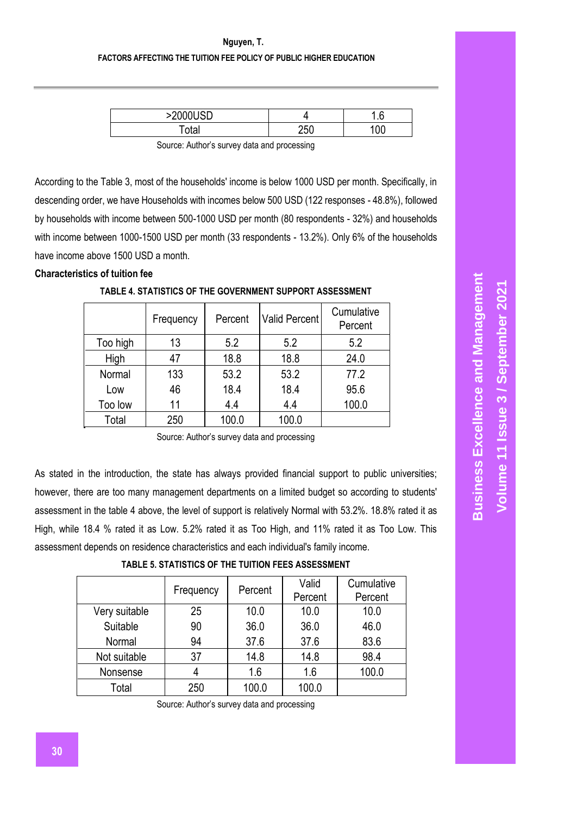| SONNAI ICH |            | ◠<br>. . 0 |
|------------|------------|------------|
| ⊤otaı      | つにい<br>zou |            |

Source: Author's survey data and processing

According to the Table 3, most of the households' income is below 1000 USD per month. Specifically, in descending order, we have Households with incomes below 500 USD (122 responses - 48.8%), followed by households with income between 500-1000 USD per month (80 respondents - 32%) and households with income between 1000-1500 USD per month (33 respondents - 13.2%). Only 6% of the households have income above 1500 USD a month.

#### **Characteristics of tuition fee**

|          | Frequency | Percent | Valid Percent | Cumulative<br>Percent |
|----------|-----------|---------|---------------|-----------------------|
| Too high | 13        | 5.2     | 5.2           | 5.2                   |
| High     | 47        | 18.8    | 18.8          | 24.0                  |
| Normal   | 133       | 53.2    | 53.2          | 77.2                  |
| Low      | 46        | 18.4    | 18.4          | 95.6                  |
| Too low  | 11        | 4.4     | 4.4           | 100.0                 |
| Total    | 250       | 100.0   | 100.0         |                       |

**TABLE 4. STATISTICS OF THE GOVERNMENT SUPPORT ASSESSMENT**

Source: Author's survey data and processing

As stated in the introduction, the state has always provided financial support to public universities; however, there are too many management departments on a limited budget so according to students' assessment in the table 4 above, the level of support is relatively Normal with 53.2%. 18.8% rated it as High, while 18.4 % rated it as Low. 5.2% rated it as Too High, and 11% rated it as Too Low. This assessment depends on residence characteristics and each individual's family income.

| TABLE 5. STATISTICS OF THE TUITION FEES ASSESSMENT |  |
|----------------------------------------------------|--|
|                                                    |  |

|               | Frequency | Percent | Valid<br>Percent | Cumulative<br>Percent |
|---------------|-----------|---------|------------------|-----------------------|
| Very suitable | 25        | 10.0    | 10.0             | 10.0                  |
| Suitable      | 90        | 36.0    | 36.0             | 46.0                  |
| Normal        | 94        | 37.6    | 37.6             | 83.6                  |
| Not suitable  | 37        | 14.8    | 14.8             | 98.4                  |
| Nonsense      |           | 1.6     | 1.6              | 100.0                 |
| Total         | 250       | 100.0   | 100.0            |                       |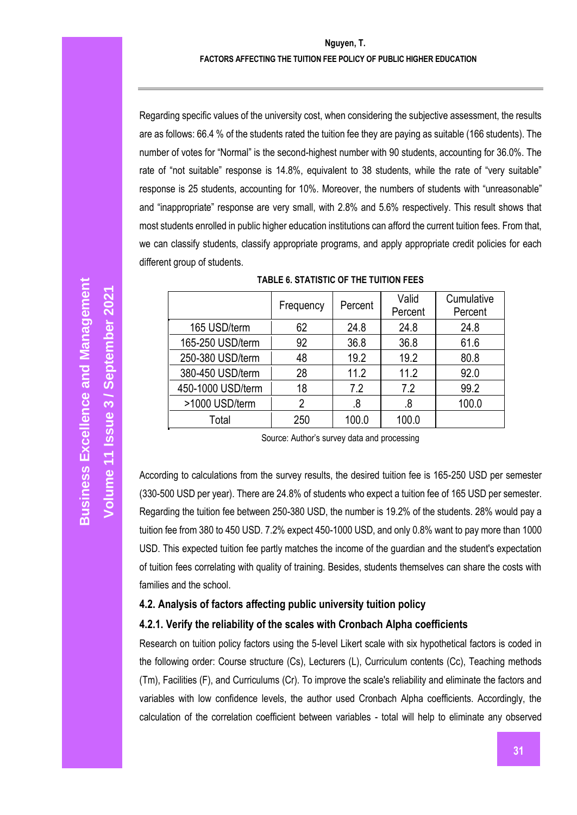Regarding specific values of the university cost, when considering the subjective assessment, the results are as follows: 66.4 % of the students rated the tuition fee they are paying as suitable (166 students). The number of votes for "Normal" is the second-highest number with 90 students, accounting for 36.0%. The rate of "not suitable" response is 14.8%, equivalent to 38 students, while the rate of "very suitable" response is 25 students, accounting for 10%. Moreover, the numbers of students with "unreasonable" and "inappropriate" response are very small, with 2.8% and 5.6% respectively. This result shows that most students enrolled in public higher education institutions can afford the current tuition fees. From that, we can classify students, classify appropriate programs, and apply appropriate credit policies for each different group of students.

|                   | Frequency | Percent | Valid<br>Percent | Cumulative<br>Percent |
|-------------------|-----------|---------|------------------|-----------------------|
| 165 USD/term      | 62        | 24.8    | 24.8             | 24.8                  |
| 165-250 USD/term  | 92        | 36.8    | 36.8             | 61.6                  |
| 250-380 USD/term  | 48        | 19.2    | 19.2             | 80.8                  |
| 380-450 USD/term  | 28        | 11.2    | 11.2             | 92.0                  |
| 450-1000 USD/term | 18        | 7.2     | 7.2              | 99.2                  |
| >1000 USD/term    | 2         | .8      | .8               | 100.0                 |
| Total             | 250       | 100.0   | 100.0            |                       |

| TABLE 6. STATISTIC OF THE TUITION FEES |
|----------------------------------------|
|----------------------------------------|

Source: Author's survey data and processing

According to calculations from the survey results, the desired tuition fee is 165-250 USD per semester (330-500 USD per year). There are 24.8% of students who expect a tuition fee of 165 USD per semester. Regarding the tuition fee between 250-380 USD, the number is 19.2% of the students. 28% would pay a tuition fee from 380 to 450 USD. 7.2% expect 450-1000 USD, and only 0.8% want to pay more than 1000 USD. This expected tuition fee partly matches the income of the guardian and the student's expectation of tuition fees correlating with quality of training. Besides, students themselves can share the costs with families and the school.

### **4.2. Analysis of factors affecting public university tuition policy**

#### **4.2.1. Verify the reliability of the scales with Cronbach Alpha coefficients**

Research on tuition policy factors using the 5-level Likert scale with six hypothetical factors is coded in the following order: Course structure (Cs), Lecturers (L), Curriculum contents (Cc), Teaching methods (Tm), Facilities (F), and Curriculums (Cr). To improve the scale's reliability and eliminate the factors and variables with low confidence levels, the author used Cronbach Alpha coefficients. Accordingly, the calculation of the correlation coefficient between variables - total will help to eliminate any observed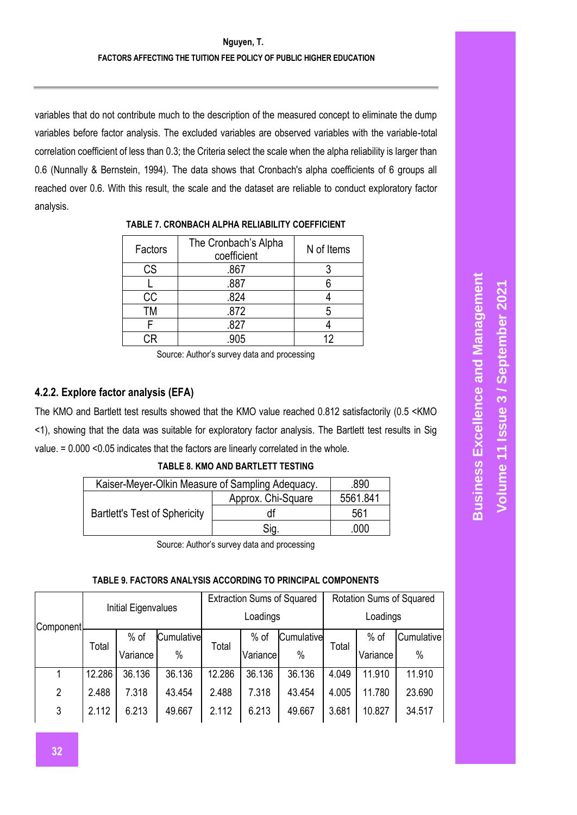variables that do not contribute much to the description of the measured concept to eliminate the dump variables before factor analysis. The excluded variables are observed variables with the variable-total correlation coefficient of less than 0.3; the Criteria select the scale when the alpha reliability is larger than 0.6 (Nunnally & Bernstein, 1994). The data shows that Cronbach's alpha coefficients of 6 groups all reached over 0.6. With this result, the scale and the dataset are reliable to conduct exploratory factor analysis.

| Factors | The Cronbach's Alpha<br>coefficient | N of Items |
|---------|-------------------------------------|------------|
| CS      | .867                                |            |
|         | .887                                |            |
| CC      | .824                                |            |
| тм      | .872                                |            |
|         | .827                                |            |
|         | 905                                 |            |

### **TABLE 7. CRONBACH ALPHA RELIABILITY COEFFICIENT**

Source: Author's survey data and processing

# **4.2.2. Explore factor analysis (EFA)**

The KMO and Bartlett test results showed that the KMO value reached 0.812 satisfactorily (0.5 <KMO <1), showing that the data was suitable for exploratory factor analysis. The Bartlett test results in Sig value. = 0.000 <0.05 indicates that the factors are linearly correlated in the whole.

### **TABLE 8. KMO AND BARTLETT TESTING**

| Kaiser-Meyer-Olkin Measure of Sampling Adequacy. | .890               |          |
|--------------------------------------------------|--------------------|----------|
|                                                  | Approx. Chi-Square | 5561.841 |
| <b>Bartlett's Test of Sphericity</b>             | df                 | 561      |
|                                                  | Sia.               | .000     |

Source: Author's survey data and processing

#### **TABLE 9. FACTORS ANALYSIS ACCORDING TO PRINCIPAL COMPONENTS**

|                |        | Initial Eigenvalues |            |        | <b>Extraction Sums of Squared</b> |            |          | Rotation Sums of Squared |            |  |
|----------------|--------|---------------------|------------|--------|-----------------------------------|------------|----------|--------------------------|------------|--|
| Component      |        |                     |            |        | Loadings                          |            | Loadings |                          |            |  |
|                | Total  | $%$ of              | Cumulative |        | $%$ of                            | Cumulative | Total    | $%$ of                   | Cumulative |  |
|                |        | Variance            | $\%$       |        | Total<br>$\%$<br>Variance         |            |          | Variance                 | $\%$       |  |
|                | 12.286 | 36.136              | 36.136     | 12.286 | 36.136                            | 36.136     | 4.049    | 11.910                   | 11.910     |  |
| $\overline{2}$ | 2.488  | 7.318               | 43.454     | 2.488  | 7.318                             | 43.454     | 4.005    | 11.780                   | 23.690     |  |
| 3              | 2.112  | 6.213               | 49.667     | 2.112  | 6.213                             | 49.667     | 3.681    | 10.827                   | 34.517     |  |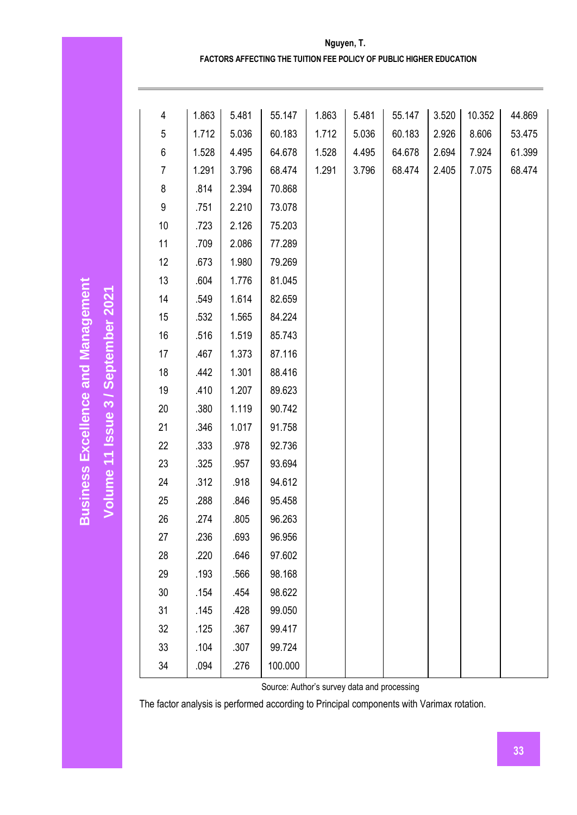| Nguyen, T.                                                          |
|---------------------------------------------------------------------|
| FACTORS AFFECTING THE TUITION FEE POLICY OF PUBLIC HIGHER EDUCATION |

| 4              | 1.863 | 5.481 | 55.147  | 1.863 | 5.481 | 55.147 | 3.520 | 10.352 | 44.869 |
|----------------|-------|-------|---------|-------|-------|--------|-------|--------|--------|
| 5              | 1.712 | 5.036 | 60.183  | 1.712 | 5.036 | 60.183 | 2.926 | 8.606  | 53.475 |
| 6              | 1.528 | 4.495 | 64.678  | 1.528 | 4.495 | 64.678 | 2.694 | 7.924  | 61.399 |
| $\overline{7}$ | 1.291 | 3.796 | 68.474  | 1.291 | 3.796 | 68.474 | 2.405 | 7.075  | 68.474 |
| 8              | .814  | 2.394 | 70.868  |       |       |        |       |        |        |
| 9              | .751  | 2.210 | 73.078  |       |       |        |       |        |        |
| 10             | .723  | 2.126 | 75.203  |       |       |        |       |        |        |
| 11             | .709  | 2.086 | 77.289  |       |       |        |       |        |        |
| 12             | .673  | 1.980 | 79.269  |       |       |        |       |        |        |
| 13             | .604  | 1.776 | 81.045  |       |       |        |       |        |        |
| 14             | .549  | 1.614 | 82.659  |       |       |        |       |        |        |
| 15             | .532  | 1.565 | 84.224  |       |       |        |       |        |        |
| 16             | .516  | 1.519 | 85.743  |       |       |        |       |        |        |
| 17             | .467  | 1.373 | 87.116  |       |       |        |       |        |        |
| 18             | .442  | 1.301 | 88.416  |       |       |        |       |        |        |
| 19             | .410  | 1.207 | 89.623  |       |       |        |       |        |        |
| 20             | .380  | 1.119 | 90.742  |       |       |        |       |        |        |
| 21             | .346  | 1.017 | 91.758  |       |       |        |       |        |        |
| 22             | .333  | .978  | 92.736  |       |       |        |       |        |        |
| 23             | .325  | .957  | 93.694  |       |       |        |       |        |        |
| 24             | .312  | .918  | 94.612  |       |       |        |       |        |        |
| 25             | .288  | .846  | 95.458  |       |       |        |       |        |        |
| 26             | .274  | .805  | 96.263  |       |       |        |       |        |        |
| 27             | .236  | .693  | 96.956  |       |       |        |       |        |        |
| 28             | .220  | .646  | 97.602  |       |       |        |       |        |        |
| 29             | .193  | .566  | 98.168  |       |       |        |       |        |        |
| 30             | .154  | .454  | 98.622  |       |       |        |       |        |        |
| 31             | .145  | .428  | 99.050  |       |       |        |       |        |        |
| 32             | .125  | .367  | 99.417  |       |       |        |       |        |        |
| 33             | .104  | .307  | 99.724  |       |       |        |       |        |        |
| 34             | .094  | .276  | 100.000 |       |       |        |       |        |        |

**Business Excellence and Management**

**Business Excellence and Management** 

**Volume 11 Issue** 

Volume 11 Issue 3 / September 2021

**/ September 2021**

Source: Author's survey data and processing

The factor analysis is performed according to Principal components with Varimax rotation.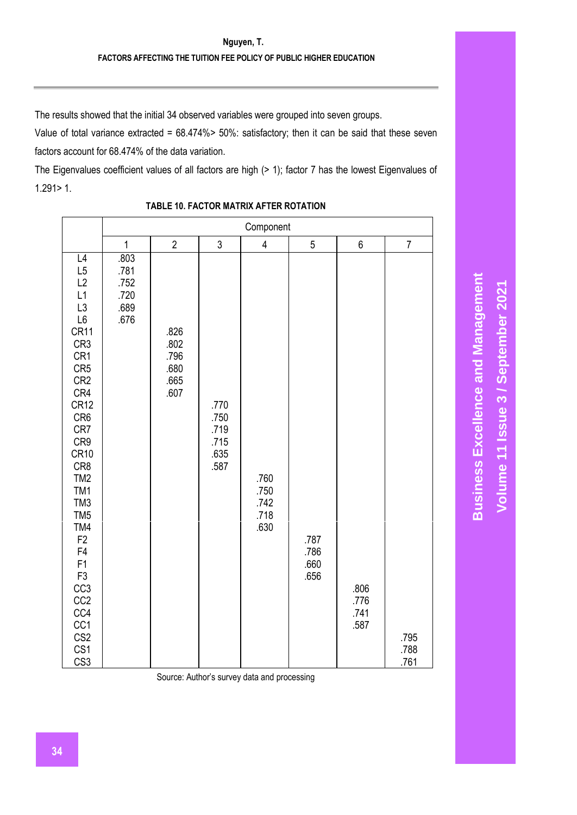The results showed that the initial 34 observed variables were grouped into seven groups.

Value of total variance extracted = 68.474%> 50%: satisfactory; then it can be said that these seven factors account for 68.474% of the data variation.

The Eigenvalues coefficient values of all factors are high (> 1); factor 7 has the lowest Eigenvalues of 1.291> 1.

|                                                                                                                                                                                                                                                                                                                                                                                                               |                                              |                                              |                                              | Component                            |                              |                              |                      |  |  |
|---------------------------------------------------------------------------------------------------------------------------------------------------------------------------------------------------------------------------------------------------------------------------------------------------------------------------------------------------------------------------------------------------------------|----------------------------------------------|----------------------------------------------|----------------------------------------------|--------------------------------------|------------------------------|------------------------------|----------------------|--|--|
|                                                                                                                                                                                                                                                                                                                                                                                                               | $\mathbf{1}$                                 | $\sqrt{2}$                                   | $\mathfrak{Z}$                               | $\overline{\mathbf{4}}$              | 5                            | 6                            | $\overline{7}$       |  |  |
| L4<br>L5<br>L2<br>L1<br>L3<br>L6<br>CR11<br>CR <sub>3</sub><br>CR1<br>CR <sub>5</sub><br>CR <sub>2</sub><br>CR4<br><b>CR12</b><br>CR6<br>CR7<br>CR9<br><b>CR10</b><br>CR <sub>8</sub><br>TM <sub>2</sub><br>TM1<br>TM <sub>3</sub><br>TM <sub>5</sub><br>TM4<br>F <sub>2</sub><br>F4<br>F1<br>F <sub>3</sub><br>CC <sub>3</sub><br>CC <sub>2</sub><br>CC4<br>CC1<br>CS <sub>2</sub><br>CS1<br>CS <sub>3</sub> | .803<br>.781<br>.752<br>.720<br>.689<br>.676 | .826<br>.802<br>.796<br>.680<br>.665<br>.607 | .770<br>.750<br>.719<br>.715<br>.635<br>.587 | .760<br>.750<br>.742<br>.718<br>.630 | .787<br>.786<br>.660<br>.656 | .806<br>.776<br>.741<br>.587 | .795<br>.788<br>.761 |  |  |

# **TABLE 10. FACTOR MATRIX AFTER ROTATION**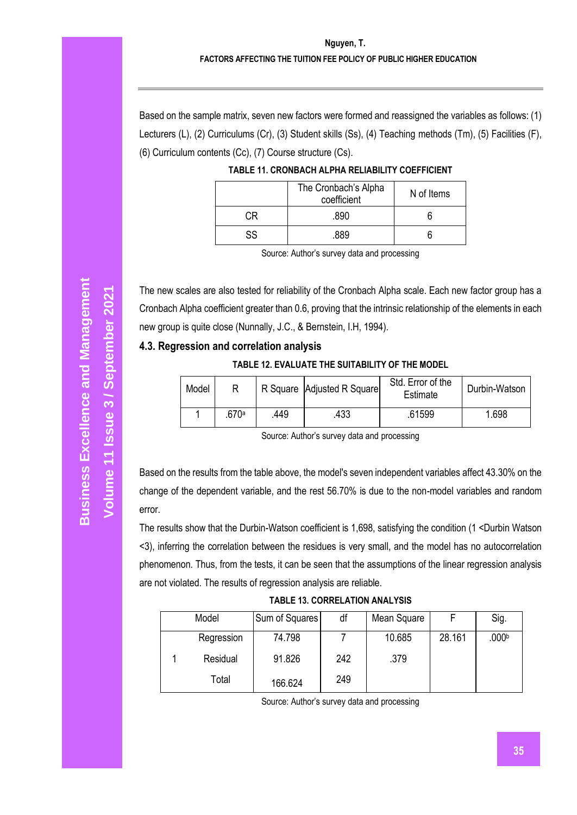# **Nguyen, T. FACTORS AFFECTING THE TUITION FEE POLICY OF PUBLIC HIGHER EDUCATION**

Based on the sample matrix, seven new factors were formed and reassigned the variables as follows: (1) Lecturers (L), (2) Curriculums (Cr), (3) Student skills (Ss), (4) Teaching methods (Tm), (5) Facilities (F), (6) Curriculum contents (Cc), (7) Course structure (Cs).

|    | The Cronbach's Alpha<br>coefficient | N of Items |
|----|-------------------------------------|------------|
|    | .890                                |            |
| SS | 889                                 |            |

| TABLE 11. CRONBACH ALPHA RELIABILITY COEFFICIENT |  |
|--------------------------------------------------|--|
|                                                  |  |

Source: Author's survey data and processing

The new scales are also tested for reliability of the Cronbach Alpha scale. Each new factor group has a Cronbach Alpha coefficient greater than 0.6, proving that the intrinsic relationship of the elements in each new group is quite close (Nunnally, J.C., & Bernstein, I.H, 1994).

#### **4.3. Regression and correlation analysis**

#### **TABLE 12. EVALUATE THE SUITABILITY OF THE MODEL**

| Model |       |     | R Square Adjusted R Square | Std. Error of the<br>Estimate | Durbin-Watson |
|-------|-------|-----|----------------------------|-------------------------------|---------------|
|       | .670ª | 449 | .433                       | .61599                        | 1.698         |

Source: Author's survey data and processing

Based on the results from the table above, the model's seven independent variables affect 43.30% on the change of the dependent variable, and the rest 56.70% is due to the non-model variables and random error.

The results show that the Durbin-Watson coefficient is 1,698, satisfying the condition (1 <Durbin Watson <3), inferring the correlation between the residues is very small, and the model has no autocorrelation phenomenon. Thus, from the tests, it can be seen that the assumptions of the linear regression analysis are not violated. The results of regression analysis are reliable.

|  |  |  | <b>TABLE 13. CORRELATION ANALYSIS</b> |
|--|--|--|---------------------------------------|
|--|--|--|---------------------------------------|

| Model      | Sum of Squares | df  | Mean Square |        | Sig.              |
|------------|----------------|-----|-------------|--------|-------------------|
| Regression | 74.798         |     | 10.685      | 28.161 | .000 <sup>b</sup> |
| Residual   | 91.826         | 242 | .379        |        |                   |
| Total      | 166.624        | 249 |             |        |                   |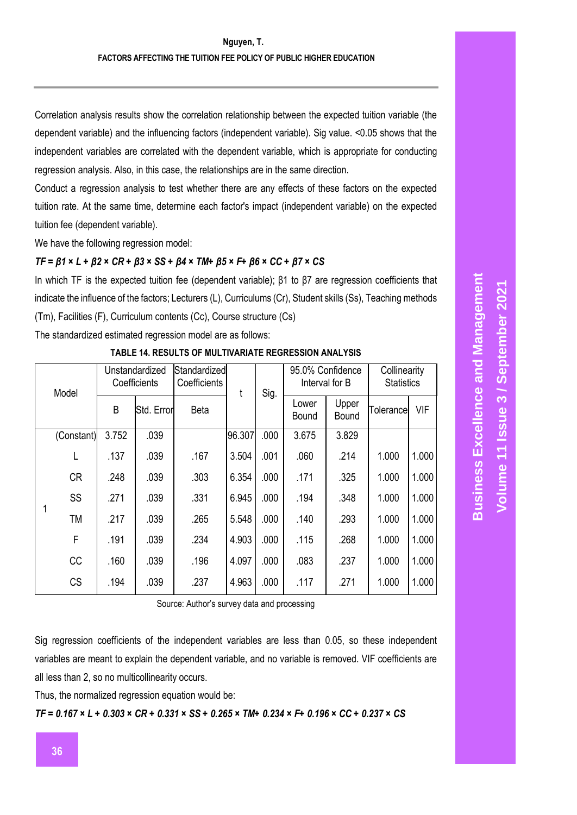Correlation analysis results show the correlation relationship between the expected tuition variable (the dependent variable) and the influencing factors (independent variable). Sig value. <0.05 shows that the independent variables are correlated with the dependent variable, which is appropriate for conducting regression analysis. Also, in this case, the relationships are in the same direction.

Conduct a regression analysis to test whether there are any effects of these factors on the expected tuition rate. At the same time, determine each factor's impact (independent variable) on the expected tuition fee (dependent variable).

We have the following regression model:

### *TF = β1 × L + β2 × CR + β3 × SS + β4 × TM+ β5 × F+ β6 × CC + β7 × CS*

In which TF is the expected tuition fee (dependent variable); β1 to β7 are regression coefficients that indicate the influence of the factors; Lecturers (L), Curriculums (Cr), Student skills (Ss), Teaching methods (Tm), Facilities (F), Curriculum contents (Cc), Course structure (Cs)

The standardized estimated regression model are as follows:

| Model |            | Unstandardized<br>Coefficients |            | Standardized<br>Coefficients | t      | Sig. | 95.0% Confidence<br>Interval for B |                       | Collinearity<br><b>Statistics</b> |       |
|-------|------------|--------------------------------|------------|------------------------------|--------|------|------------------------------------|-----------------------|-----------------------------------|-------|
|       |            | B                              | Std. Error | <b>Beta</b>                  |        |      | Lower<br>Bound                     | Upper<br><b>Bound</b> | <b>Tolerance</b>                  | VIF   |
|       | (Constant) | 3.752                          | .039       |                              | 96.307 | .000 | 3.675                              | 3.829                 |                                   |       |
|       |            | .137                           | .039       | .167                         | 3.504  | .001 | .060                               | .214                  | 1.000                             | 1.000 |
|       | <b>CR</b>  | .248                           | .039       | .303                         | 6.354  | .000 | .171                               | .325                  | 1.000                             | 1.000 |
|       | SS         | .271                           | .039       | .331                         | 6.945  | .000 | .194                               | .348                  | 1.000                             | 1.000 |
|       | <b>TM</b>  | .217                           | .039       | .265                         | 5.548  | .000 | .140                               | .293                  | 1.000                             | 1.000 |
|       | F          | .191                           | .039       | .234                         | 4.903  | .000 | .115                               | .268                  | 1.000                             | 1.000 |
|       | CC         | .160                           | .039       | .196                         | 4.097  | .000 | .083                               | .237                  | 1.000                             | 1.000 |
|       | <b>CS</b>  | .194                           | .039       | .237                         | 4.963  | .000 | .117                               | .271                  | 1.000                             | 1.000 |

#### **TABLE 14. RESULTS OF MULTIVARIATE REGRESSION ANALYSIS**

Source: Author's survey data and processing

Sig regression coefficients of the independent variables are less than 0.05, so these independent variables are meant to explain the dependent variable, and no variable is removed. VIF coefficients are all less than 2, so no multicollinearity occurs.

Thus, the normalized regression equation would be:

*TF = 0.167 × L + 0.303 × CR + 0.331 × SS + 0.265 × TM+ 0.234 × F+ 0.196 × CC + 0.237 × CS*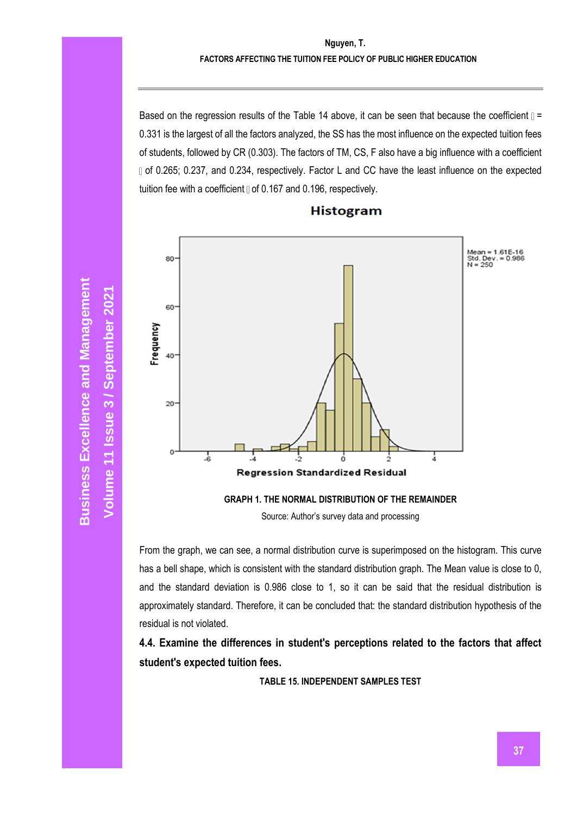#### **Nguyen, T. FACTORS AFFECTING THE TUITION FEE POLICY OF PUBLIC HIGHER EDUCATION**

Based on the regression results of the Table 14 above, it can be seen that because the coefficient  $\mathbb{I}$  = 0.331 is the largest of all the factors analyzed, the SS has the most influence on the expected tuition fees of students, followed by CR (0.303). The factors of TM, CS, F also have a big influence with a coefficient of 0.265; 0.237, and 0.234, respectively. Factor L and CC have the least influence on the expected tuition fee with a coefficient  $\text{I}$  of 0.167 and 0.196, respectively.



#### **Histogram**

**GRAPH 1. THE NORMAL DISTRIBUTION OF THE REMAINDER**

Source: Author's survey data and processing

From the graph, we can see, a normal distribution curve is superimposed on the histogram. This curve has a bell shape, which is consistent with the standard distribution graph. The Mean value is close to 0, and the standard deviation is 0.986 close to 1, so it can be said that the residual distribution is approximately standard. Therefore, it can be concluded that: the standard distribution hypothesis of the residual is not violated.

**4.4. Examine the differences in student's perceptions related to the factors that affect student's expected tuition fees.** 

**TABLE 15. INDEPENDENT SAMPLES TEST**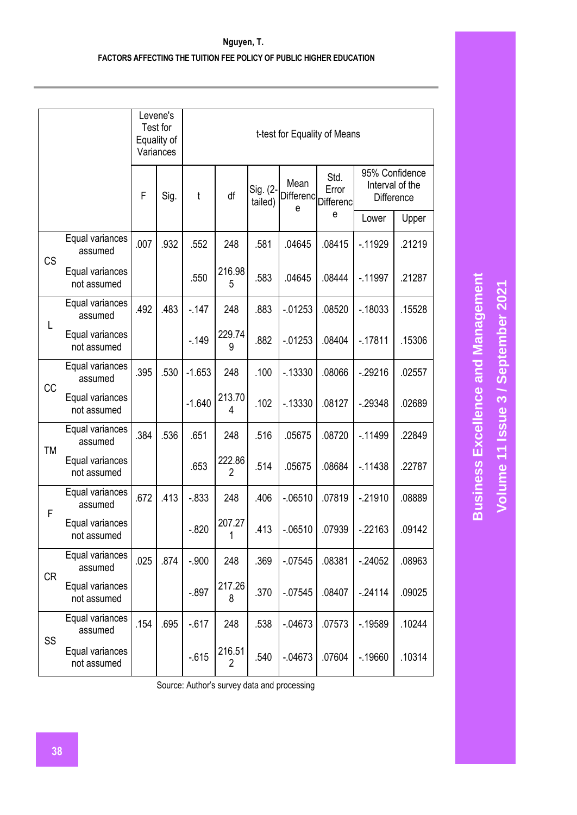|           |                                |      | Levene's<br>Test for<br>Equality of<br>Variances | t-test for Equality of Means |                          |                     |                               |                            |                                                        |        |
|-----------|--------------------------------|------|--------------------------------------------------|------------------------------|--------------------------|---------------------|-------------------------------|----------------------------|--------------------------------------------------------|--------|
|           |                                | F    | Sig.                                             | t                            | df                       | Sig. (2-<br>tailed) | Mean<br><b>Differenc</b><br>e | Std.<br>Error<br>Differenc | 95% Confidence<br>Interval of the<br><b>Difference</b> |        |
|           |                                |      |                                                  |                              |                          |                     |                               | е                          | Lower                                                  | Upper  |
| <b>CS</b> | Equal variances<br>assumed     | .007 | .932                                             | .552                         | 248                      | .581                | .04645                        | .08415                     | $-.11929$                                              | .21219 |
|           | Equal variances<br>not assumed |      |                                                  | .550                         | 216.98<br>5              | .583                | .04645                        | .08444                     | $-11997$                                               | .21287 |
|           | Equal variances<br>assumed     | .492 | .483                                             | $-147$                       | 248                      | .883                | $-01253$                      | .08520                     | $-0.18033$                                             | .15528 |
| L         | Equal variances<br>not assumed |      |                                                  | $-149$                       | 229.74<br>9              | .882                | $-0.01253$                    | .08404                     | $-17811$                                               | .15306 |
|           | Equal variances<br>assumed     | .395 | .530                                             | $-1.653$                     | 248                      | .100                | $-13330$                      | .08066                     | $-29216$                                               | .02557 |
| CC        | Equal variances<br>not assumed |      |                                                  | $-1.640$                     | 213.70<br>4              | .102                | $-13330$                      | .08127                     | $-29348$                                               | .02689 |
|           | Equal variances<br>assumed     | .384 | .536                                             | .651                         | 248                      | .516                | .05675                        | .08720                     | $-11499$                                               | .22849 |
| TM        | Equal variances<br>not assumed |      |                                                  | .653                         | 222.86<br>$\overline{2}$ | .514                | .05675                        | .08684                     | $-11438$                                               | .22787 |
|           | Equal variances<br>assumed     | .672 | .413                                             | $-0.833$                     | 248                      | .406                | $-06510$                      | .07819                     | $-21910$                                               | .08889 |
| F         | Equal variances<br>not assumed |      |                                                  | $-0.820$                     | 207.27<br>1              | .413                | $-06510$                      | .07939                     | $-22163$                                               | .09142 |
|           | Equal variances<br>assumed     | .025 | .874                                             | $-.900$                      | 248                      | .369                | $-0.07545$                    | .08381                     | $-24052$                                               | .08963 |
| <b>CR</b> | Equal variances<br>not assumed |      |                                                  | $-.897$                      | 217.26<br>8              | .370                | $-07545$                      | .08407                     | $-24114$                                               | .09025 |
|           | Equal variances<br>assumed     | .154 | .695                                             | $-617$                       | 248                      | .538                | $-.04673$                     | .07573                     | $-19589$                                               | .10244 |
| SS        | Equal variances<br>not assumed |      |                                                  | $-0.615$                     | 216.51<br>$\overline{2}$ | .540                | $-.04673$                     | .07604                     | $-.19660$                                              | .10314 |

**Business Excellence and Management Business Excellence and Management** Volume 11 Issue 3 / September 2021 **Volume 11 Issue 3 / September 2021**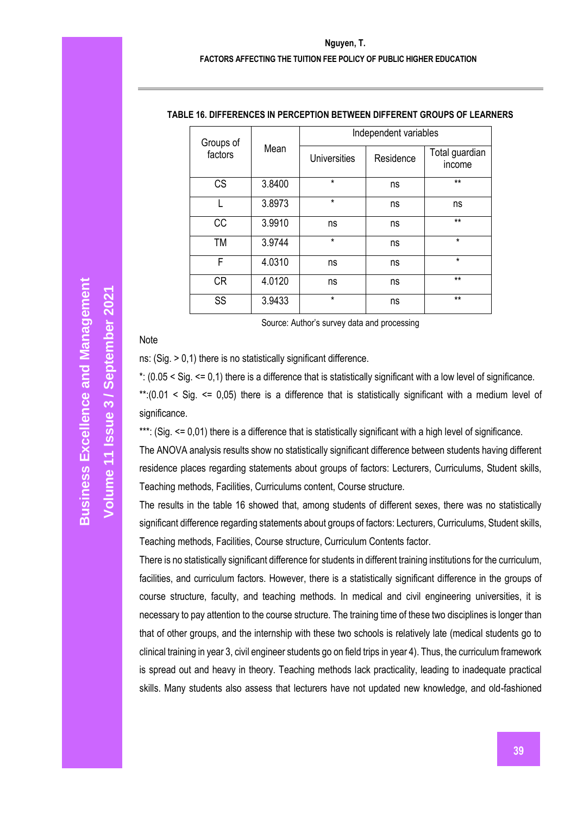#### **FACTORS AFFECTING THE TUITION FEE POLICY OF PUBLIC HIGHER EDUCATION**

| Groups of |        | Independent variables |           |                          |  |  |  |  |
|-----------|--------|-----------------------|-----------|--------------------------|--|--|--|--|
| factors   | Mean   | <b>Universities</b>   | Residence | Total guardian<br>income |  |  |  |  |
| CS        | 3.8400 | $\star$               | ns        | $**$                     |  |  |  |  |
|           | 3.8973 | $\star$               | ns        | ns                       |  |  |  |  |
| <b>CC</b> | 3.9910 | ns                    | ns        | $**$                     |  |  |  |  |
| TM        | 3.9744 | $\star$               | ns        | $\star$                  |  |  |  |  |
| F         | 4.0310 | ns                    | ns        | $\star$                  |  |  |  |  |
| <b>CR</b> | 4.0120 | ns                    | ns        | $**$                     |  |  |  |  |
| SS        | 3.9433 | $\star$               | ns        | $***$                    |  |  |  |  |

#### **TABLE 16. DIFFERENCES IN PERCEPTION BETWEEN DIFFERENT GROUPS OF LEARNERS**

Source: Author's survey data and processing

#### Note

ns: (Sig. > 0,1) there is no statistically significant difference.

\*: (0.05 < Sig. <= 0,1) there is a difference that is statistically significant with a low level of significance.

\*\*:(0.01 < Sig. <= 0,05) there is a difference that is statistically significant with a medium level of significance.

\*\*\*: (Sig. <= 0,01) there is a difference that is statistically significant with a high level of significance.

The ANOVA analysis results show no statistically significant difference between students having different residence places regarding statements about groups of factors: Lecturers, Curriculums, Student skills, Teaching methods, Facilities, Curriculums content, Course structure.

The results in the table 16 showed that, among students of different sexes, there was no statistically significant difference regarding statements about groups of factors: Lecturers, Curriculums, Student skills, Teaching methods, Facilities, Course structure, Curriculum Contents factor.

There is no statistically significant difference for students in different training institutions for the curriculum, facilities, and curriculum factors. However, there is a statistically significant difference in the groups of course structure, faculty, and teaching methods. In medical and civil engineering universities, it is necessary to pay attention to the course structure. The training time of these two disciplines is longer than that of other groups, and the internship with these two schools is relatively late (medical students go to clinical training in year 3, civil engineer students go on field trips in year 4). Thus, the curriculum framework is spread out and heavy in theory. Teaching methods lack practicality, leading to inadequate practical skills. Many students also assess that lecturers have not updated new knowledge, and old-fashioned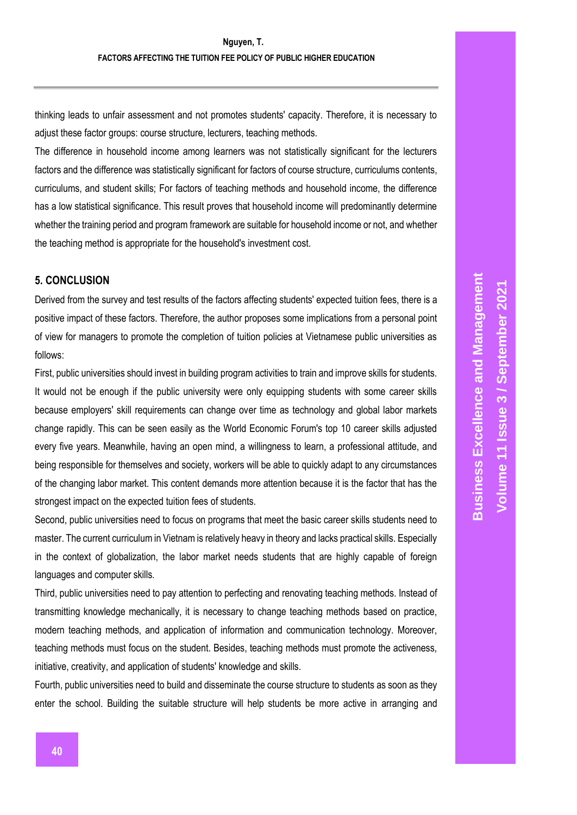thinking leads to unfair assessment and not promotes students' capacity. Therefore, it is necessary to adjust these factor groups: course structure, lecturers, teaching methods.

The difference in household income among learners was not statistically significant for the lecturers factors and the difference was statistically significant for factors of course structure, curriculums contents, curriculums, and student skills; For factors of teaching methods and household income, the difference has a low statistical significance. This result proves that household income will predominantly determine whether the training period and program framework are suitable for household income or not, and whether the teaching method is appropriate for the household's investment cost.

### **5. CONCLUSION**

Derived from the survey and test results of the factors affecting students' expected tuition fees, there is a positive impact of these factors. Therefore, the author proposes some implications from a personal point of view for managers to promote the completion of tuition policies at Vietnamese public universities as follows:

First, public universities should invest in building program activities to train and improve skills for students. It would not be enough if the public university were only equipping students with some career skills because employers' skill requirements can change over time as technology and global labor markets change rapidly. This can be seen easily as the World Economic Forum's top 10 career skills adjusted every five years. Meanwhile, having an open mind, a willingness to learn, a professional attitude, and being responsible for themselves and society, workers will be able to quickly adapt to any circumstances of the changing labor market. This content demands more attention because it is the factor that has the strongest impact on the expected tuition fees of students.

Second, public universities need to focus on programs that meet the basic career skills students need to master. The current curriculum in Vietnam is relatively heavy in theory and lacks practical skills. Especially in the context of globalization, the labor market needs students that are highly capable of foreign languages and computer skills.

Third, public universities need to pay attention to perfecting and renovating teaching methods. Instead of transmitting knowledge mechanically, it is necessary to change teaching methods based on practice, modern teaching methods, and application of information and communication technology. Moreover, teaching methods must focus on the student. Besides, teaching methods must promote the activeness, initiative, creativity, and application of students' knowledge and skills.

Fourth, public universities need to build and disseminate the course structure to students as soon as they enter the school. Building the suitable structure will help students be more active in arranging and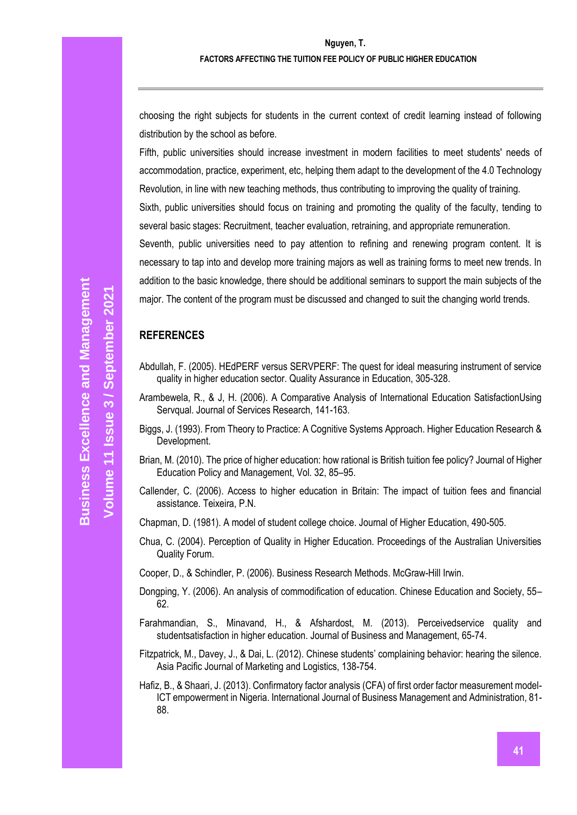choosing the right subjects for students in the current context of credit learning instead of following distribution by the school as before.

Fifth, public universities should increase investment in modern facilities to meet students' needs of accommodation, practice, experiment, etc, helping them adapt to the development of the 4.0 Technology Revolution, in line with new teaching methods, thus contributing to improving the quality of training.

Sixth, public universities should focus on training and promoting the quality of the faculty, tending to several basic stages: Recruitment, teacher evaluation, retraining, and appropriate remuneration.

Seventh, public universities need to pay attention to refining and renewing program content. It is necessary to tap into and develop more training majors as well as training forms to meet new trends. In addition to the basic knowledge, there should be additional seminars to support the main subjects of the major. The content of the program must be discussed and changed to suit the changing world trends.

#### **REFERENCES**

- Abdullah, F. (2005). HEdPERF versus SERVPERF: The quest for ideal measuring instrument of service quality in higher education sector. Quality Assurance in Education, 305-328.
- Arambewela, R., & J, H. (2006). A Comparative Analysis of International Education SatisfactionUsing Servqual. Journal of Services Research, 141-163.
- Biggs, J. (1993). From Theory to Practice: A Cognitive Systems Approach. Higher Education Research & Development.
- Brian, M. (2010). The price of higher education: how rational is British tuition fee policy? Journal of Higher Education Policy and Management, Vol. 32, 85–95.
- Callender, C. (2006). Access to higher education in Britain: The impact of tuition fees and financial assistance. Teixeira, P.N.

Chapman, D. (1981). A model of student college choice. Journal of Higher Education, 490-505.

Chua, C. (2004). Perception of Quality in Higher Education. Proceedings of the Australian Universities Quality Forum.

Cooper, D., & Schindler, P. (2006). Business Research Methods. McGraw-Hill Irwin.

- Dongping, Y. (2006). An analysis of commodification of education. Chinese Education and Society, 55– 62.
- Farahmandian, S., Minavand, H., & Afshardost, M. (2013). Perceivedservice quality and studentsatisfaction in higher education. Journal of Business and Management, 65-74.
- Fitzpatrick, M., Davey, J., & Dai, L. (2012). Chinese students' complaining behavior: hearing the silence. Asia Pacific Journal of Marketing and Logistics, 138-754.
- Hafiz, B., & Shaari, J. (2013). Confirmatory factor analysis (CFA) of first order factor measurement model-ICT empowerment in Nigeria. International Journal of Business Management and Administration, 81- 88.

**Volume 11 Issue**